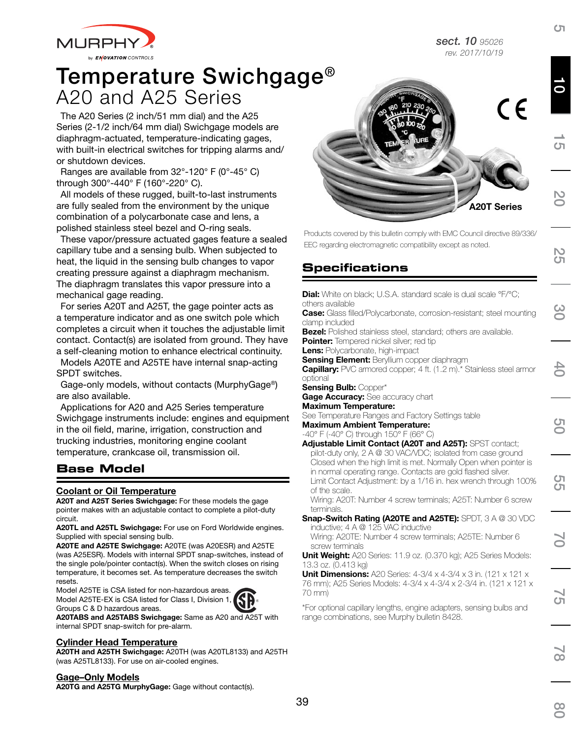*sect. 10 95026 rev. 2017/10/19*



# A20 and A25 Series Temperature Swichgage®

The A20 Series (2 inch/51 mm dial) and the A25 Series (2-1/2 inch/64 mm dial) Swichgage models are diaphragm-actuated, temperature-indicating gages, with built-in electrical switches for tripping alarms and/ or shutdown devices.

Ranges are available from 32°-120° F (0°-45° C) through 300°-440° F (160°-220° C).

All models of these rugged, built-to-last instruments are fully sealed from the environment by the unique combination of a polycarbonate case and lens, a polished stainless steel bezel and O-ring seals.

These vapor/pressure actuated gages feature a sealed capillary tube and a sensing bulb. When subjected to heat, the liquid in the sensing bulb changes to vapor creating pressure against a diaphragm mechanism. The diaphragm translates this vapor pressure into a mechanical gage reading.

For series A20T and A25T, the gage pointer acts as a temperature indicator and as one switch pole which completes a circuit when it touches the adjustable limit contact. Contact(s) are isolated from ground. They have a self-cleaning motion to enhance electrical continuity.

Models A20TE and A25TE have internal snap-acting SPDT switches.

Gage-only models, without contacts (MurphyGage®) are also available.

Applications for A20 and A25 Series temperature Swichgage instruments include: engines and equipment in the oil field, marine, irrigation, construction and trucking industries, monitoring engine coolant temperature, crankcase oil, transmission oil.

#### **Base Model**

#### Coolant or Oil Temperature

A20T and A25T Series Swichgage: For these models the gage pointer makes with an adjustable contact to complete a pilot-duty circuit.

A20TL and A25TL Swichgage: For use on Ford Worldwide engines. Supplied with special sensing bulb.

A20TE and A25TE Swichgage: A20TE (was A20ESR) and A25TE (was A25ESR). Models with internal SPDT snap-switches, instead of the single pole/pointer contact(s). When the switch closes on rising temperature, it becomes set. As temperature decreases the switch resets.

Model A25TE is CSA listed for non-hazardous areas. Model A25TE-EX is CSA listed for Class I, Division 1, Groups C & D hazardous areas.

A20TABS and A25TABS Swichgage: Same as A20 and A25T with internal SPDT snap-switch for pre-alarm.

#### Cylinder Head Temperature

A20TH and A25TH Swichgage: A20TH (was A20TL8133) and A25TH (was A25TL8133). For use on air-cooled engines.

#### Gage–Only Models

A20TG and A25TG MurphyGage: Gage without contact(s).



Products covered by this bulletin comply with EMC Council directive 89/336/ EEC regarding electromagnetic compatibility except as noted.

# **Specifications**

| <b>Dial:</b> White on black; U.S.A. standard scale is dual scale °F/°C;                                                                                                                                                                                                              |
|--------------------------------------------------------------------------------------------------------------------------------------------------------------------------------------------------------------------------------------------------------------------------------------|
| others available<br>Case: Glass filled/Polycarbonate, corrosion-resistant; steel mounting                                                                                                                                                                                            |
| clamp included                                                                                                                                                                                                                                                                       |
| <b>Bezel:</b> Polished stainless steel, standard; others are available.<br><b>Pointer:</b> Tempered nickel silver; red tip                                                                                                                                                           |
| Lens: Polycarbonate, high-impact                                                                                                                                                                                                                                                     |
| <b>Sensing Element:</b> Beryllium copper diaphragm                                                                                                                                                                                                                                   |
| Capillary: PVC armored copper; 4 ft. (1.2 m).* Stainless steel armor<br>optional                                                                                                                                                                                                     |
| <b>Sensing Bulb: Copper*</b>                                                                                                                                                                                                                                                         |
| Gage Accuracy: See accuracy chart                                                                                                                                                                                                                                                    |
| <b>Maximum Temperature:</b>                                                                                                                                                                                                                                                          |
| See Temperature Ranges and Factory Settings table<br><b>Maximum Ambient Temperature:</b>                                                                                                                                                                                             |
| -40° F (-40° C) through 150° F (66° C)                                                                                                                                                                                                                                               |
| <b>Adjustable Limit Contact (A20T and A25T):</b> SPST contact;                                                                                                                                                                                                                       |
| pilot-duty only, 2 A @ 30 VAC/VDC; isolated from case ground<br>Closed when the high limit is met. Normally Open when pointer is<br>in normal operating range. Contacts are gold flashed silver.<br>Limit Contact Adjustment: by a 1/16 in. hex wrench through 100%<br>of the scale. |
| Wiring: A20T: Number 4 screw terminals; A25T: Number 6 screw<br>terminals.                                                                                                                                                                                                           |
| Snap-Switch Rating (A20TE and A25TE): SPDT, 3 A @ 30 VDC<br>inductive; 4 A @ 125 VAC inductive                                                                                                                                                                                       |
| Wiring: A20TE: Number 4 screw terminals; A25TE: Number 6<br>screw terminals                                                                                                                                                                                                          |
| Unit Weight: A20 Series: 11.9 oz. (0.370 kg); A25 Series Models:<br>13.3 oz. (0.413 kg)                                                                                                                                                                                              |
| <b>Unit Dimensions:</b> A20 Series: $4-3/4 \times 4-3/4 \times 3$ in. (121 x 121 x<br>76 mm); A25 Series Models: 4-3/4 x 4-3/4 x 2-3/4 in. (121 x 121 x<br>70 mm)                                                                                                                    |
| *For optional capillary lengths, engine adapters, sensing bulbs and<br>range combinations, see Murphy bulletin 8428.                                                                                                                                                                 |
|                                                                                                                                                                                                                                                                                      |
|                                                                                                                                                                                                                                                                                      |



10

 $\sigma$ 

20

 $\frac{2}{5}$ 

30

40

50

55

70

5

 $\overline{\mathsf{co}}$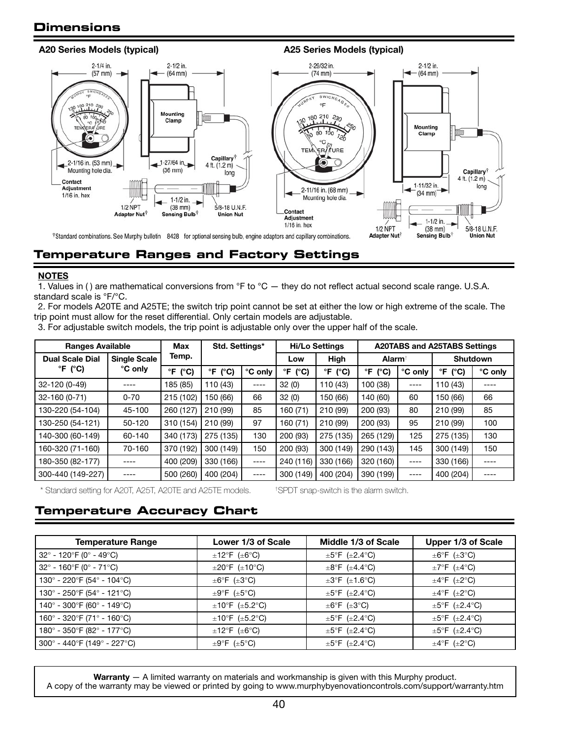#### **Dimensions**



### **Temperature Ranges and Factory Settings**

#### **NOTES**

1. Values in () are mathematical conversions from  ${}^{\circ}F$  to  ${}^{\circ}C$  — they do not reflect actual second scale range. U.S.A. standard scale is °F/°C.

2. For models A20TE and A25TE; the switch trip point cannot be set at either the low or high extreme of the scale. The trip point must allow for the reset differential. Only certain models are adjustable.

3. For adjustable switch models, the trip point is adjustable only over the upper half of the scale.

| <b>Ranges Available</b>                       |          | <b>Max</b>                    | Std. Settings*             |         |                               | <b>Hi/Lo Settings</b>      | <b>A20TABS and A25TABS Settings</b> |         |                     |         |  |
|-----------------------------------------------|----------|-------------------------------|----------------------------|---------|-------------------------------|----------------------------|-------------------------------------|---------|---------------------|---------|--|
| <b>Single Scale</b><br><b>Dual Scale Dial</b> |          | Temp.                         |                            |         | Low                           | High                       | <b>Alarm</b>                        |         | <b>Shutdown</b>     |         |  |
| °F (°C)                                       | °C only  | $\mathsf{P}$<br>$(^{\circ}C)$ | $\degree$ F ( $\degree$ C) | °C only | $\mathsf{P}$<br>$(^{\circ}C)$ | $\degree$ F ( $\degree$ C) | °F<br>$(^{\circ}C)$                 | °C only | °F<br>$(^{\circ}C)$ | °C only |  |
| 32-120 (0-49)                                 |          | 185 (85)                      | 110 (43)                   | ----    | 32(0)                         | 110 (43)                   | 100 (38)                            |         | 110 (43)            |         |  |
| 32-160 (0-71)                                 | $0 - 70$ | 215 (102)                     | 150 (66)                   | 66      | 32(0)                         | 150 (66)                   | 140 (60)                            | 60      | 150 (66)            | 66      |  |
| 130-220 (54-104)                              | 45-100   | 260 (127)                     | 210 (99)                   | 85      | 160 (71)                      | 210 (99)                   | 200 (93)                            | 80      | 210 (99)            | 85      |  |
| 130-250 (54-121)                              | 50-120   | 310 (154)                     | 210 (99)                   | 97      | 160 (71)                      | 210 (99)                   | 200 (93)                            | 95      | 210 (99)            | 100     |  |
| 140-300 (60-149)                              | 60-140   | 340 (173)                     | 275 (135)                  | 130     | 200 (93)                      | 275 (135)                  | 265 (129)                           | 125     | 275 (135)           | 130     |  |
| 160-320 (71-160)                              | 70-160   | 370 (192)                     | 300 (149)                  | 150     | 200 (93)                      | 300 (149)                  | 290 (143)                           | 145     | 300 (149)           | 150     |  |
| 180-350 (82-177)                              |          | 400 (209)                     | 330 (166)                  | ----    | 240 (116)                     | 330 (166)                  | 320 (160)                           | $---$   | 330 (166)           |         |  |
| 300-440 (149-227)                             |          | 500 (260)                     | 400 (204)                  | ----    | 300 (149)                     | 400 (204)                  | 390 (199)                           |         | 400 (204)           |         |  |

\* Standard setting for A20T, A25T, A20TE and A25TE models. †

SPDT snap-switch is the alarm switch.

#### **Temperature Accuracy Chart**

| <b>Temperature Range</b>                                         | Lower 1/3 of Scale                        | Middle 1/3 of Scale                      | Upper 1/3 of Scale                       |
|------------------------------------------------------------------|-------------------------------------------|------------------------------------------|------------------------------------------|
| $32^{\circ}$ - 120 $^{\circ}$ F (0 $^{\circ}$ - 49 $^{\circ}$ C) | $\pm 12^{\circ}$ F ( $\pm 6^{\circ}$ C)   | $\pm 5^{\circ}$ F ( $\pm 2.4^{\circ}$ C) | $\pm 6^{\circ}$ F ( $\pm 3^{\circ}$ C)   |
| $32^{\circ}$ - 160 $^{\circ}$ F (0 $^{\circ}$ - 71 $^{\circ}$ C) | $\pm 20^{\circ}$ F ( $\pm 10^{\circ}$ C)  | $\pm 8$ °F ( $\pm 4.4$ °C)               | $\pm 7^{\circ}$ F ( $\pm 4^{\circ}$ C)   |
| 130° - 220°F (54° - 104°C)                                       | $\pm 6^{\circ}$ F ( $\pm 3^{\circ}$ C)    | $\pm 3^{\circ}$ F ( $\pm 1.6^{\circ}$ C) | $\pm 4^{\circ}$ F ( $\pm 2^{\circ}$ C)   |
| 130° - 250°F (54° - 121°C)                                       | $\pm 9^\circ$ F ( $\pm 5^\circ$ C)        | $\pm 5^{\circ}$ F ( $\pm 2.4^{\circ}$ C) | $\pm 4^{\circ}$ F ( $\pm 2^{\circ}$ C)   |
| 140° - 300°F (60° - 149°C)                                       | $\pm 10^{\circ}$ F ( $\pm 5.2^{\circ}$ C) | $\pm 6^{\circ}$ F ( $\pm 3^{\circ}$ C)   | $\pm 5^{\circ}$ F ( $\pm 2.4^{\circ}$ C) |
| 160° - 320°F (71° - 160°C)                                       | $\pm 10^{\circ}$ F ( $\pm 5.2^{\circ}$ C) | $\pm 5^{\circ}$ F ( $\pm 2.4^{\circ}$ C) | $\pm 5^{\circ}$ F ( $\pm 2.4^{\circ}$ C) |
| 180° - 350°F (82° - 177°C)                                       | $\pm 12^{\circ}$ F ( $\pm 6^{\circ}$ C)   | $\pm 5^{\circ}$ F ( $\pm 2.4^{\circ}$ C) | $\pm 5^{\circ}$ F ( $\pm 2.4^{\circ}$ C) |
| $300^{\circ}$ - 440°F (149° - 227°C)                             | $\pm 9^\circ$ F ( $\pm 5^\circ$ C)        | $\pm 5^{\circ}$ F ( $\pm 2.4^{\circ}$ C) | $\pm 4^{\circ}$ F ( $\pm 2^{\circ}$ C)   |

Warranty - A limited warranty on materials and workmanship is given with this Murphy product. A copy of the warranty may be viewed or printed by going to www.murphybyenovationcontrols.com/support/warranty.htm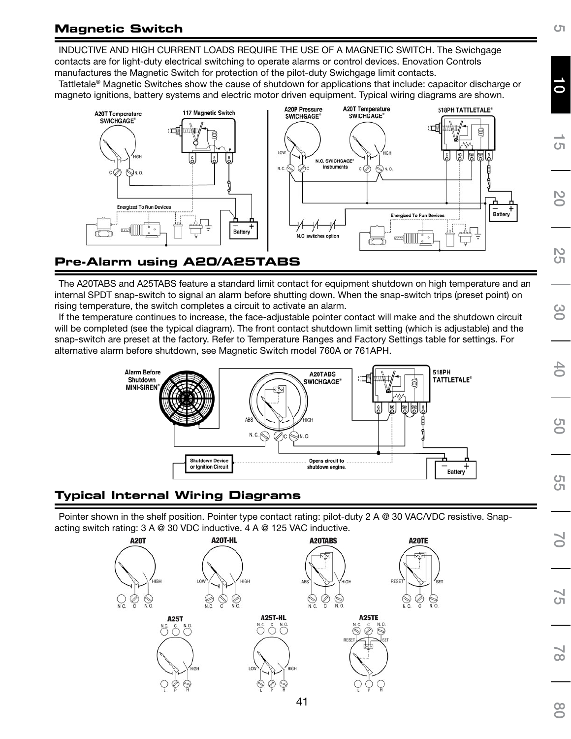# **Magnetic Switch**

INDUCTIVE AND HIGH CURRENT LOADS REQUIRE THE USE OF A MAGNETIC SWITCH. The Swichgage contacts are for light-duty electrical switching to operate alarms or control devices. Enovation Controls manufactures the Magnetic Switch for protection of the pilot-duty Swichgage limit contacts.

Tattletale® Magnetic Switches show the cause of shutdown for applications that include: capacitor discharge or magneto ignitions, battery systems and electric motor driven equipment. Typical wiring diagrams are shown.



### **Pre-Alarm using A20/A25TABS**

The A20TABS and A25TABS feature a standard limit contact for equipment shutdown on high temperature and an internal SPDT snap-switch to signal an alarm before shutting down. When the snap-switch trips (preset point) on rising temperature, the switch completes a circuit to activate an alarm.

If the temperature continues to increase, the face-adjustable pointer contact will make and the shutdown circuit will be completed (see the typical diagram). The front contact shutdown limit setting (which is adjustable) and the snap-switch are preset at the factory. Refer to Temperature Ranges and Factory Settings table for settings. For alternative alarm before shutdown, see Magnetic Switch model 760A or 761APH.



# **Typical Internal Wiring Diagrams**

Pointer shown in the shelf position. Pointer type contact rating: pilot-duty 2 A @ 30 VAC/VDC resistive. Snapacting switch rating: 3 A @ 30 VDC inductive. 4 A @ 125 VAC inductive.



10

 $\sigma$ 

20

25

30

40

50

55

70

ຕ<sup>້</sup>

SET